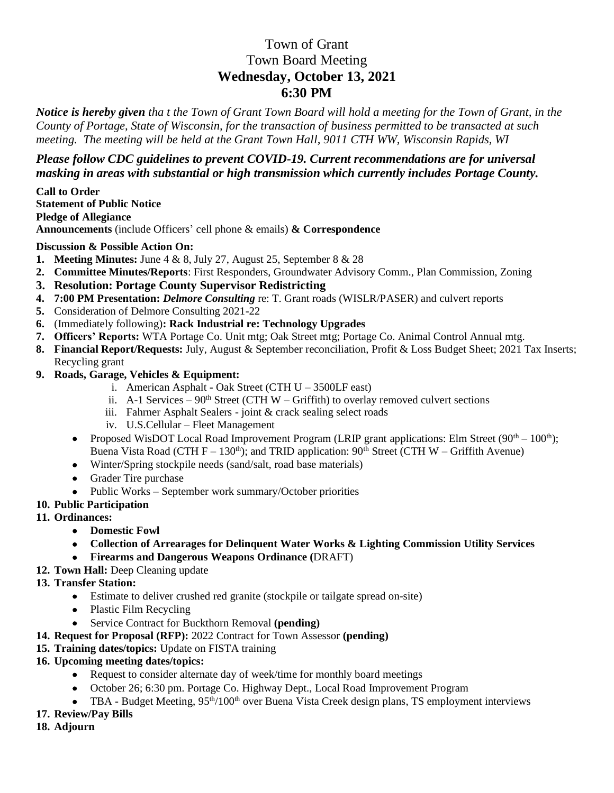## Town of Grant Town Board Meeting **Wednesday, October 13, 2021 6:30 PM**

*Notice is hereby given tha t the Town of Grant Town Board will hold a meeting for the Town of Grant, in the County of Portage, State of Wisconsin, for the transaction of business permitted to be transacted at such meeting. The meeting will be held at the Grant Town Hall, 9011 CTH WW, Wisconsin Rapids, WI*

## *Please follow CDC guidelines to prevent COVID-19. Current recommendations are for universal masking in areas with substantial or high transmission which currently includes Portage County.*

**Call to Order Statement of Public Notice Pledge of Allegiance Announcements** (include Officers' cell phone & emails) **& Correspondence**

## **Discussion & Possible Action On:**

- **1. Meeting Minutes:** June 4 & 8, July 27, August 25, September 8 & 28
- **2. Committee Minutes/Reports**: First Responders, Groundwater Advisory Comm., Plan Commission, Zoning
- **3. Resolution: Portage County Supervisor Redistricting**
- **4. 7:00 PM Presentation:** *Delmore Consulting* re: T. Grant roads (WISLR/PASER) and culvert reports
- **5.** Consideration of Delmore Consulting 2021-22
- **6.** (Immediately following)**: Rack Industrial re: Technology Upgrades**
- **7. Officers' Reports:** WTA Portage Co. Unit mtg; Oak Street mtg; Portage Co. Animal Control Annual mtg.
- **8. Financial Report/Requests:** July, August & September reconciliation, Profit & Loss Budget Sheet; 2021 Tax Inserts; Recycling grant
- **9. Roads, Garage, Vehicles & Equipment:** 
	- i. American Asphalt Oak Street (CTH  $U 3500LF$  east)
	- ii. A-1 Services  $90<sup>th</sup>$  Street (CTH W Griffith) to overlay removed culvert sections
	- iii. Fahrner Asphalt Sealers joint & crack sealing select roads
	- iv. U.S.Cellular Fleet Management
	- Proposed WisDOT Local Road Improvement Program (LRIP grant applications: Elm Street ( $90<sup>th</sup> 100<sup>th</sup>$ ); Buena Vista Road (CTH  $F - 130<sup>th</sup>$ ); and TRID application: 90<sup>th</sup> Street (CTH W – Griffith Avenue)
	- Winter/Spring stockpile needs (sand/salt, road base materials)
	- Grader Tire purchase
	- Public Works September work summary/October priorities
- **10. Public Participation**
- **11. Ordinances:**
	- **Domestic Fowl**
	- **Collection of Arrearages for Delinquent Water Works & Lighting Commission Utility Services**
	- **Firearms and Dangerous Weapons Ordinance (**DRAFT)
- **12. Town Hall:** Deep Cleaning update
- **13. Transfer Station:** 
	- Estimate to deliver crushed red granite (stockpile or tailgate spread on-site)
	- Plastic Film Recycling
	- Service Contract for Buckthorn Removal **(pending)**
- **14. Request for Proposal (RFP):** 2022 Contract for Town Assessor **(pending)**
- **15. Training dates/topics:** Update on FISTA training
- **16. Upcoming meeting dates/topics:** 
	- Request to consider alternate day of week/time for monthly board meetings
	- October 26; 6:30 pm. Portage Co. Highway Dept., Local Road Improvement Program
	- TBA Budget Meeting, 95<sup>th</sup>/100<sup>th</sup> over Buena Vista Creek design plans, TS employment interviews
- **17. Review/Pay Bills**
- **18. Adjourn**